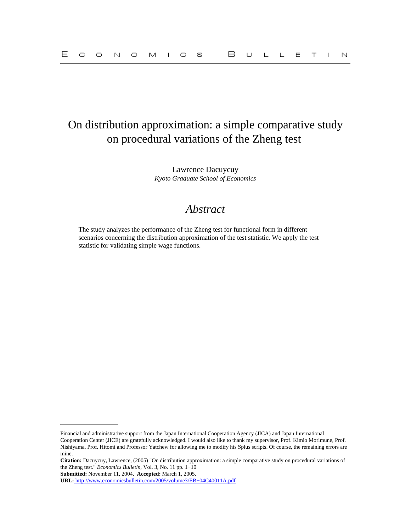## On distribution approximation: a simple comparative study on procedural variations of the Zheng test

Lawrence Dacuycuy *Kyoto Graduate School of Economics*

## *Abstract*

The study analyzes the performance of the Zheng test for functional form in different scenarios concerning the distribution approximation of the test statistic. We apply the test statistic for validating simple wage functions.

**Citation:** Dacuycuy, Lawrence, (2005) "On distribution approximation: a simple comparative study on procedural variations of the Zheng test." *Economics Bulletin,* Vol. 3, No. 11 pp. 1−10

**Submitted:** November 11, 2004. **Accepted:** March 1, 2005.

Financial and administrative support from the Japan International Cooperation Agency (JICA) and Japan International Cooperation Center (JICE) are gratefully acknowledged. I would also like to thank my supervisor, Prof. Kimio Morimune, Prof. Nishiyama, Prof. Hitomi and Professor Yatchew for allowing me to modify his Splus scripts. Of course, the remaining errors are mine.

**URL:** [http://www.economicsbulletin.com/2005/volume3/EB−04C40011A.pdf](http://www.economicsbulletin.com/2005/volume3/EB-04C40011A.pdf)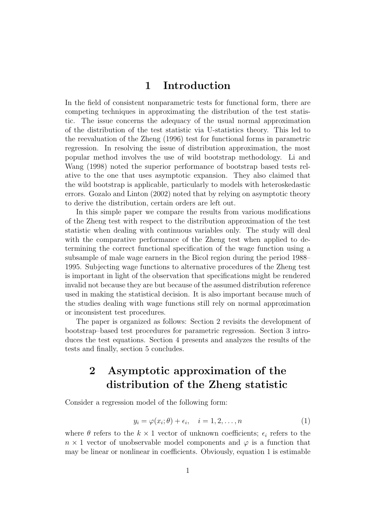### 1 Introduction

In the field of consistent nonparametric tests for functional form, there are competing techniques in approximating the distribution of the test statistic. The issue concerns the adequacy of the usual normal approximation of the distribution of the test statistic via U-statistics theory. This led to the reevaluation of the Zheng (1996) test for functional forms in parametric regression. In resolving the issue of distribution approximation, the most popular method involves the use of wild bootstrap methodology. Li and Wang (1998) noted the superior performance of bootstrap based tests relative to the one that uses asymptotic expansion. They also claimed that the wild bootstrap is applicable, particularly to models with heteroskedastic errors. Gozalo and Linton (2002) noted that by relying on asymptotic theory to derive the distribution, certain orders are left out.

In this simple paper we compare the results from various modifications of the Zheng test with respect to the distribution approximation of the test statistic when dealing with continuous variables only. The study will deal with the comparative performance of the Zheng test when applied to determining the correct functional specification of the wage function using a subsample of male wage earners in the Bicol region during the period 1988– 1995. Subjecting wage functions to alternative procedures of the Zheng test is important in light of the observation that specifications might be rendered invalid not because they are but because of the assumed distribution reference used in making the statistical decision. It is also important because much of the studies dealing with wage functions still rely on normal approximation or inconsistent test procedures.

The paper is organized as follows: Section 2 revisits the development of bootstrap–based test procedures for parametric regression. Section 3 introduces the test equations. Section 4 presents and analyzes the results of the tests and finally, section 5 concludes.

# 2 Asymptotic approximation of the distribution of the Zheng statistic

Consider a regression model of the following form:

$$
y_i = \varphi(x_i; \theta) + \epsilon_i, \quad i = 1, 2, \dots, n \tag{1}
$$

where  $\theta$  refers to the  $k \times 1$  vector of unknown coefficients;  $\epsilon_i$  refers to the  $n \times 1$  vector of unobservable model components and  $\varphi$  is a function that may be linear or nonlinear in coefficients. Obviously, equation 1 is estimable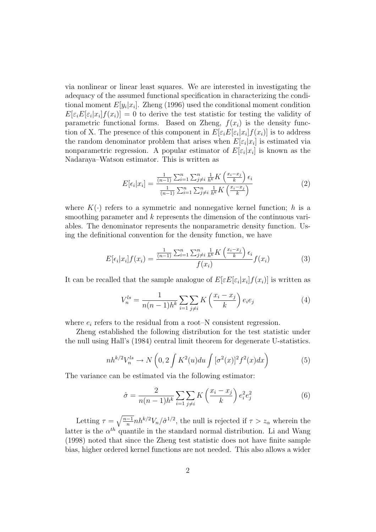via nonlinear or linear least squares. We are interested in investigating the adequacy of the assumed functional specification in characterizing the conditional moment  $E[y_i|x_i]$ . Zheng (1996) used the conditional moment condition  $E[\varepsilon_i E[\varepsilon_i]x_i]f(x_i)] = 0$  to derive the test statistic for testing the validity of parametric functional forms. Based on Zheng,  $f(x_i)$  is the density function of X. The presence of this component in  $E[\varepsilon_i E[\varepsilon_i | x_i] f(x_i)]$  is to address the random denominator problem that arises when  $E[\varepsilon_i|x_i]$  is estimated via nonparametric regression. A popular estimator of  $E[\varepsilon_i|x_i]$  is known as the Nadaraya–Watson estimator. This is written as

$$
E[\epsilon_i|x_i] = \frac{\frac{1}{(n-1)}\sum_{i=1}^n\sum_{j\neq i}^n \frac{1}{h^k}K\left(\frac{x_i - x_j}{k}\right)\epsilon_i}{\frac{1}{(n-1)}\sum_{i=1}^n\sum_{j\neq i}^n \frac{1}{h^k}K\left(\frac{x_i - x_j}{k}\right)}
$$
(2)

where  $K(\cdot)$  refers to a symmetric and nonnegative kernel function; h is a smoothing parameter and k represents the dimension of the continuous variables. The denominator represents the nonparametric density function. Using the definitional convention for the density function, we have

$$
E[\epsilon_i|x_i]f(x_i) = \frac{\frac{1}{(n-1)}\sum_{i=1}^n\sum_{j\neq i}^n \frac{1}{h^k}K\left(\frac{x_i - x_j}{k}\right)\epsilon_i}{f(x_i)}f(x_i)
$$
(3)

It can be recalled that the sample analogue of  $E[\varepsilon E[\varepsilon_i|x_i]f(x_i)]$  is written as

$$
V_n^{ls} = \frac{1}{n(n-1)h^k} \sum_{i=1}^{n} \sum_{j \neq i} K\left(\frac{x_i - x_j}{k}\right) e_i e_j \tag{4}
$$

where  $e_i$  refers to the residual from a root–N consistent regression.

Zheng established the following distribution for the test statistic under the null using Hall's (1984) central limit theorem for degenerate U-statistics.

$$
nh^{k/2}V_n^{ls} \to N\left(0, 2\int K^2(u)du \int [\sigma^2(x)]^2 f^2(x)dx\right) \tag{5}
$$

The variance can be estimated via the following estimator:

$$
\hat{\sigma} = \frac{2}{n(n-1)h^k} \sum_{i=1}^{n} \sum_{j \neq i} K\left(\frac{x_i - x_j}{k}\right) e_i^2 e_j^2 \tag{6}
$$

Letting  $\tau = \sqrt{\frac{n-1}{n}}$  $\frac{-1}{n}nh^{k/2}V_n/\hat{\sigma}^{1/2}$ , the null is rejected if  $\tau > z_\alpha$  wherein the latter is the  $\alpha^{th}$  quantile in the standard normal distribution. Li and Wang (1998) noted that since the Zheng test statistic does not have finite sample bias, higher ordered kernel functions are not needed. This also allows a wider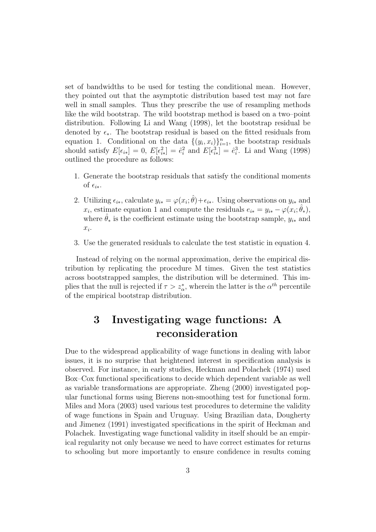set of bandwidths to be used for testing the conditional mean. However, they pointed out that the asymptotic distribution based test may not fare well in small samples. Thus they prescribe the use of resampling methods like the wild bootstrap. The wild bootstrap method is based on a two–point distribution. Following Li and Wang (1998), let the bootstrap residual be denoted by  $\epsilon_{\ast}$ . The bootstrap residual is based on the fitted residuals from equation 1. Conditional on the data  $\{(y_i, x_i)\}_{i=1}^n$ , the bootstrap residuals should satisfy  $E[\epsilon_{i*}] = 0$ ,  $E[\epsilon_{i*}^2] = \hat{e}_i^2$  and  $E[\epsilon_{i*}^3] = \hat{e}_i^3$ . Li and Wang (1998) outlined the procedure as follows:

- 1. Generate the bootstrap residuals that satisfy the conditional moments of  $\epsilon_{i*}$ .
- 2. Utilizing  $\epsilon_{i*}$ , calculate  $y_{i*} = \varphi(x_i; \hat{\theta}) + \epsilon_{i*}$ . Using observations on  $y_{i*}$  and  $x_i$ , estimate equation 1 and compute the residuals  $e_{i*} = y_{i*} - \varphi(x_i; \hat{\theta}_*)$ , where  $\hat{\theta}_*$  is the coefficient estimate using the bootstrap sample,  $y_{i*}$  and  $x_i$ .
- 3. Use the generated residuals to calculate the test statistic in equation 4.

Instead of relying on the normal approximation, derive the empirical distribution by replicating the procedure M times. Given the test statistics across bootstrapped samples, the distribution will be determined. This implies that the null is rejected if  $\tau > z^*_{\alpha}$ , wherein the latter is the  $\alpha^{th}$  percentile of the empirical bootstrap distribution.

# 3 Investigating wage functions: A reconsideration

Due to the widespread applicability of wage functions in dealing with labor issues, it is no surprise that heightened interest in specification analysis is observed. For instance, in early studies, Heckman and Polachek (1974) used Box–Cox functional specifications to decide which dependent variable as well as variable transformations are appropriate. Zheng (2000) investigated popular functional forms using Bierens non-smoothing test for functional form. Miles and Mora (2003) used various test procedures to determine the validity of wage functions in Spain and Uruguay. Using Brazilian data, Dougherty and Jimenez (1991) investigated specifications in the spirit of Heckman and Polachek. Investigating wage functional validity in itself should be an empirical regularity not only because we need to have correct estimates for returns to schooling but more importantly to ensure confidence in results coming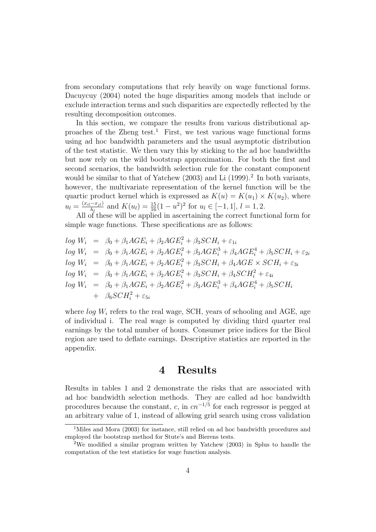from secondary computations that rely heavily on wage functional forms. Dacuycuy (2004) noted the huge disparities among models that include or exclude interaction terms and such disparities are expectedly reflected by the resulting decomposition outcomes.

In this section, we compare the results from various distributional approaches of the Zheng test.<sup>1</sup> First, we test various wage functional forms using ad hoc bandwidth parameters and the usual asymptotic distribution of the test statistic. We then vary this by sticking to the ad hoc bandwidths but now rely on the wild bootstrap approximation. For both the first and second scenarios, the bandwidth selection rule for the constant component would be similar to that of Yatchew  $(2003)$  and Li  $(1999).<sup>2</sup>$  In both variants, however, the multivariate representation of the kernel function will be the quartic product kernel which is expressed as  $K(u) = K(u_1) \times K(u_2)$ , where  $u_l = \frac{(x_{il}-x_{jl})}{h_l}$  $\frac{-x_{jl}}{h_l}$  and  $K(u_l) = \frac{15}{16}(1-u^2)^2$  for  $u_l \in [-1,1], l = 1,2.$ 

All of these will be applied in ascertaining the correct functional form for simple wage functions. These specifications are as follows:

$$
log W_i = \beta_0 + \beta_1 AGE_i + \beta_2 AGE_i^2 + \beta_3 SCH_i + \varepsilon_{1i}
$$
  
\n
$$
log W_i = \beta_0 + \beta_1 AGE_i + \beta_2 AGE_i^2 + \beta_3 AGE_i^3 + \beta_4 AGE_i^4 + \beta_5 SCH_i + \varepsilon_{2i}
$$
  
\n
$$
log W_i = \beta_0 + \beta_1 AGE_i + \beta_2 AGE_i^2 + \beta_3 SCH_i + \beta_4 AGE \times SCH_i + \varepsilon_{3i}
$$
  
\n
$$
log W_i = \beta_0 + \beta_1 AGE_i + \beta_2 AGE_i^2 + \beta_3 SCH_i + \beta_4 SCH_i^2 + \varepsilon_{4i}
$$
  
\n
$$
log W_i = \beta_0 + \beta_1 AGE_i + \beta_2 AGE_i^2 + \beta_3 AGE_i^3 + \beta_4 AGE_i^4 + \beta_5 SCH_i
$$
  
\n
$$
+ \beta_6 SCH_i^2 + \varepsilon_{5i}
$$

where  $log W_i$  refers to the real wage, SCH, years of schooling and AGE, age of individual i. The real wage is computed by dividing third quarter real earnings by the total number of hours. Consumer price indices for the Bicol region are used to deflate earnings. Descriptive statistics are reported in the appendix.

#### 4 Results

Results in tables 1 and 2 demonstrate the risks that are associated with ad hoc bandwidth selection methods. They are called ad hoc bandwidth procedures because the constant, c, in  $cn^{-1/5}$  for each regressor is pegged at an arbitrary value of 1, instead of allowing grid search using cross validation

<sup>&</sup>lt;sup>1</sup>Miles and Mora (2003) for instance, still relied on ad hoc bandwidth procedures and employed the bootstrap method for Stute's and Bierens tests.

<sup>2</sup>We modified a similar program written by Yatchew (2003) in Splus to handle the computation of the test statistics for wage function analysis.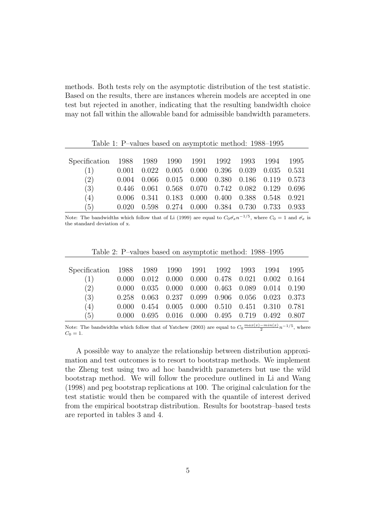methods. Both tests rely on the asymptotic distribution of the test statistic. Based on the results, there are instances wherein models are accepted in one test but rejected in another, indicating that the resulting bandwidth choice may not fall within the allowable band for admissible bandwidth parameters.

|               | Table 1: P-values based on asymptotic method: 1988–1995 |       |               |       |       |       |       |       |  |
|---------------|---------------------------------------------------------|-------|---------------|-------|-------|-------|-------|-------|--|
|               |                                                         |       |               |       |       |       |       |       |  |
| Specification | 1988 1989 1990                                          |       |               | 1991  | 1992  | 1993  | 1994  | 1995  |  |
| (1)           | 0.001                                                   | 0.022 | 0.005         | 0.000 | 0.396 | 0.039 | 0.035 | 0.531 |  |
| (2)           | 0.004                                                   | 0.066 | 0.015         | 0.000 | 0.380 | 0.186 | 0.119 | 0.573 |  |
| (3)           | 0.446                                                   | 0.061 | $0.568$ 0.070 |       | 0.742 | 0.082 | 0.129 | 0.696 |  |
| (4)           | 0.006                                                   | 0.341 | 0.183         | 0.000 | 0.400 | 0.388 | 0.548 | 0.921 |  |
| (5)           |                                                         | 0.598 | 0.274         | 0.000 | 0.384 | 0.730 | 0.733 | 0.933 |  |

Note: The bandwidths which follow that of Li (1999) are equal to  $C_0 \hat{\sigma_x} n^{-1/5}$ , where  $C_0 = 1$  and  $\hat{\sigma_x}$  is the standard deviation of x.

| Table 2: P-values based on asymptotic method: 1988–1995 |  |  |
|---------------------------------------------------------|--|--|
|---------------------------------------------------------|--|--|

| Specification 1988 1989 1990 1991 1992 1993 1994 1995 |       |  |                                                                 |  |  |
|-------------------------------------------------------|-------|--|-----------------------------------------------------------------|--|--|
| (1)                                                   |       |  | $0.000$ $0.012$ $0.000$ $0.000$ $0.478$ $0.021$ $0.002$ $0.164$ |  |  |
| (2)                                                   |       |  | $0.000$ $0.035$ $0.000$ $0.000$ $0.463$ $0.089$ $0.014$ $0.190$ |  |  |
| (3)                                                   |       |  | 0.258 0.063 0.237 0.099 0.906 0.056 0.023 0.373                 |  |  |
| (4)                                                   | 0.000 |  | $0.454$ $0.005$ $0.000$ $0.510$ $0.451$ $0.310$ $0.781$         |  |  |
| (5)                                                   | 0.000 |  | $0.695$ $0.016$ $0.000$ $0.495$ $0.719$ $0.492$ $0.807$         |  |  |

Note: The bandwidths which follow that of Yatchew (2003) are equal to  $C_0 \frac{max(x)-min(x)}{2} n^{-1/5}$ , where  $C_0 = 1.$ 

A possible way to analyze the relationship between distribution approximation and test outcomes is to resort to bootstrap methods. We implement the Zheng test using two ad hoc bandwidth parameters but use the wild bootstrap method. We will follow the procedure outlined in Li and Wang (1998) and peg bootstrap replications at 100. The original calculation for the test statistic would then be compared with the quantile of interest derived from the empirical bootstrap distribution. Results for bootstrap–based tests are reported in tables 3 and 4.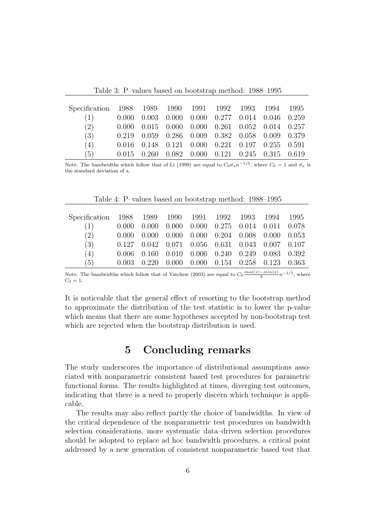Table 3: P–values based on bootstrap method: 1988–1995

| Specification 1988 1989 1990 1991 1992 1993 1994 1995 |       |       |                                                         |  |                                                 |  |
|-------------------------------------------------------|-------|-------|---------------------------------------------------------|--|-------------------------------------------------|--|
| (1)                                                   | 0.000 |       | $0.003$ $0.000$ $0.000$ $0.277$ $0.014$ $0.046$ $0.259$ |  |                                                 |  |
| (2)                                                   | 0.000 |       | $0.015$ $0.000$ $0.000$ $0.261$ $0.052$ $0.014$ $0.257$ |  |                                                 |  |
| (3)                                                   | 0.219 |       | $0.059$ $0.286$ $0.009$ $0.382$ $0.058$ $0.009$ $0.379$ |  |                                                 |  |
| (4)                                                   | 0.016 |       | $0.148$ $0.121$ $0.000$ $0.221$ $0.197$ $0.255$ $0.591$ |  |                                                 |  |
| (5)                                                   | 0.015 | 0.260 |                                                         |  | $0.082$ $0.000$ $0.121$ $0.245$ $0.315$ $0.619$ |  |

Note: The bandwidths which follow that of Li (1999) are equal to  $C_0 \hat{\sigma_x} n^{-1/5}$ , where  $C_0 = 1$  and  $\hat{\sigma_x}$  is the standard deviation of x.

Table 4: P–values based on bootstrap method: 1988–1995

| Specification 1988 1989 1990 1991 1992 1993 |       |       |  |                                                                 | -- 1994 | -1995 |
|---------------------------------------------|-------|-------|--|-----------------------------------------------------------------|---------|-------|
| (1)                                         | 0.000 | 0.000 |  | $0.000$ $0.000$ $0.275$ $0.014$ $0.011$ $0.078$                 |         |       |
| (2)                                         | 0.000 | 0.000 |  | $0.000$ $0.000$ $0.204$ $0.008$ $0.000$ $0.053$                 |         |       |
| (3)                                         |       |       |  | $0.127$ $0.042$ $0.071$ $0.056$ $0.631$ $0.043$ $0.007$ $0.107$ |         |       |
| (4)                                         | 0.006 | 0.160 |  | $0.010$ $0.006$ $0.240$ $0.249$ $0.083$ $0.392$                 |         |       |
| (5)                                         | 0.003 | 0.220 |  | $0.000$ $0.000$ $0.154$ $0.258$ $0.123$ $0.363$                 |         |       |

Note: The bandwidths which follow that of Yatchew (2003) are equal to  $C_0 \frac{max(x)-min(x)}{2} n^{-1/5}$ , where  $C_0 = 1.$ 

It is noticeable that the general effect of resorting to the bootstrap method to approximate the distribution of the test statistic is to lower the p-value which means that there are some hypotheses accepted by non-bootstrap test which are rejected when the bootstrap distribution is used.

### 5 Concluding remarks

The study underscores the importance of distributional assumptions associated with nonparametric consistent based test procedures for parametric functional forms. The results highlighted at times, diverging test outcomes, indicating that there is a need to properly discern which technique is applicable.

The results may also reflect partly the choice of bandwidths. In view of the critical dependence of the nonparametric test procedures on bandwidth selection considerations, more systematic data–driven selection procedures should be adopted to replace ad hoc bandwidth procedures, a critical point addressed by a new generation of consistent nonparametric based test that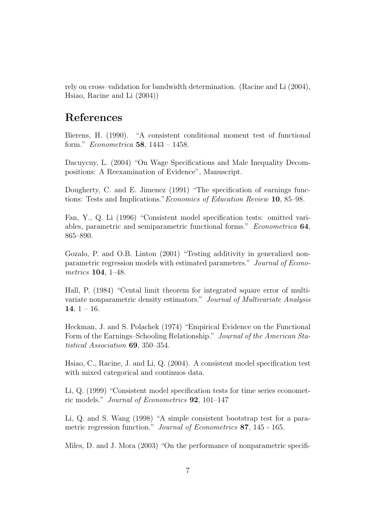rely on cross–validation for bandwidth determination. (Racine and Li (2004), Hsiao, Racine and Li (2004))

### References

Bierens, H. (1990). "A consistent conditional moment test of functional form." Econometrica 58, 1443 – 1458.

Dacuycuy, L. (2004) "On Wage Specifications and Male Inequality Decompositions: A Reexamination of Evidence", Manuscript.

Dougherty, C. and E. Jimenez (1991) "The specification of earnings functions: Tests and Implications."Economics of Education Review 10, 85–98.

Fan, Y., Q. Li (1996) "Consistent model specification tests: omitted variables, parametric and semiparametric functional forms." Econometrica 64, 865–890.

Gozalo, P. and O.B. Linton (2001) "Testing additivity in generalized nonparametric regression models with estimated parameters." Journal of Econometrics 104, 1–48.

Hall, P. (1984) "Cental limit theorem for integrated square error of multivariate nonparametric density estimators." Journal of Multivariate Analysis 14,  $1 - 16$ .

Heckman, J. and S. Polachek (1974) "Empirical Evidence on the Functional Form of the Earnings–Schooling Relationship." Journal of the American Statistical Association 69, 350–354.

Hsiao, C., Racine, J. and Li, Q. (2004). A consistent model specification test with mixed categorical and continuos data.

Li, Q. (1999) "Consistent model specification tests for time series econometric models." Journal of Econometrics 92, 101–147

Li, Q. and S. Wang (1998) "A simple consistent bootstrap test for a parametric regression function." Journal of Econometrics 87, 145 - 165.

Miles, D. and J. Mora (2003) "On the performance of nonparametric specifi-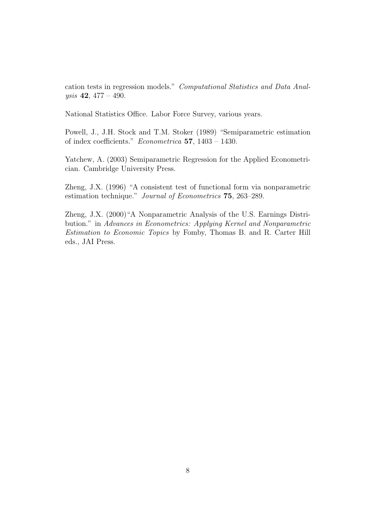cation tests in regression models." Computational Statistics and Data Analysis 42, 477 – 490.

National Statistics Office. Labor Force Survey, various years.

Powell, J., J.H. Stock and T.M. Stoker (1989) "Semiparametric estimation of index coefficients." Econometrica 57, 1403 – 1430.

Yatchew, A. (2003) Semiparametric Regression for the Applied Econometrician. Cambridge University Press.

Zheng, J.X. (1996) "A consistent test of functional form via nonparametric estimation technique." Journal of Econometrics 75, 263–289.

Zheng, J.X. (2000)"A Nonparametric Analysis of the U.S. Earnings Distribution." in Advances in Econometrics: Applying Kernel and Nonparametric Estimation to Economic Topics by Fomby, Thomas B. and R. Carter Hill eds., JAI Press.